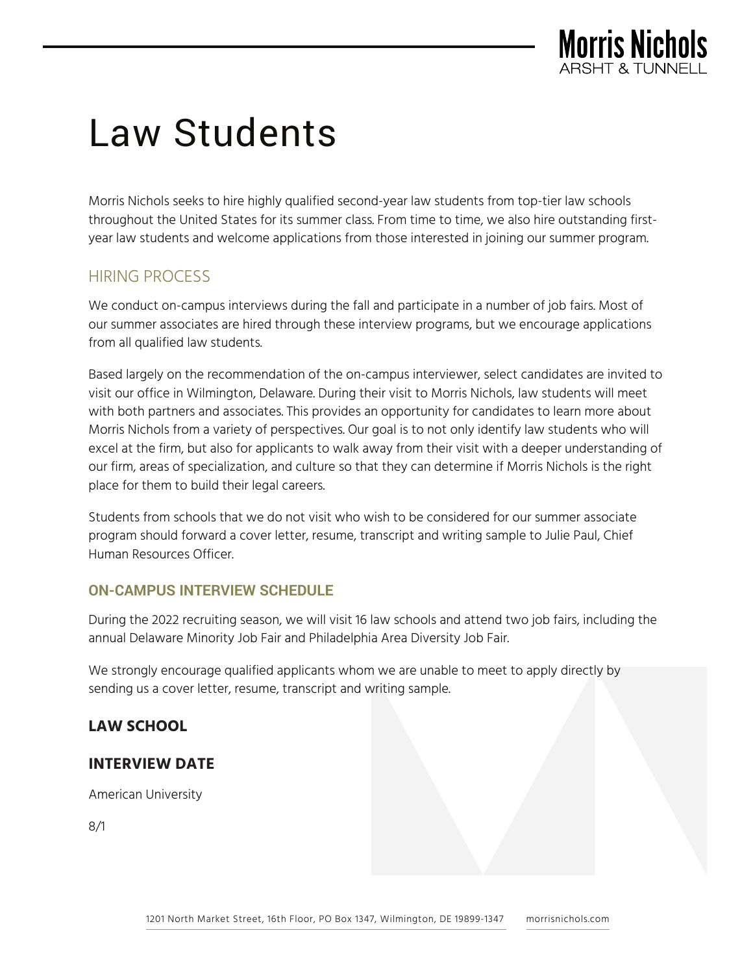

Morris Nichols seeks to hire highly qualified second-year law students from top-tier law schools throughout the United States for its summer class. From time to time, we also hire outstanding firstyear law students and welcome applications from those interested in joining our summer program.

# HIRING PROCESS

We conduct on-campus interviews during the fall and participate in a number of job fairs. Most of our summer associates are hired through these interview programs, but we encourage applications from all qualified law students.

Based largely on the recommendation of the on-campus interviewer, select candidates are invited to visit our office in Wilmington, Delaware. During their visit to Morris Nichols, law students will meet with both partners and associates. This provides an opportunity for candidates to learn more about Morris Nichols from a variety of perspectives. Our goal is to not only identify law students who will excel at the firm, but also for applicants to walk away from their visit with a deeper understanding of our firm, areas of specialization, and culture so that they can determine if Morris Nichols is the right place for them to build their legal careers.

Students from schools that we do not visit who wish to be considered for our summer associate program should forward a cover letter, resume, transcript and writing sample to Julie Paul, Chief Human Resources Officer.

## **ON-CAMPUS INTERVIEW SCHEDULE**

During the 2022 recruiting season, we will visit 16 law schools and attend two job fairs, including the annual Delaware Minority Job Fair and Philadelphia Area Diversity Job Fair.

We strongly encourage qualified applicants whom we are unable to meet to apply directly by sending us a cover letter, resume, transcript and writing sample.

# **LAW SCHOOL**

## **INTERVIEW DATE**

American University

8/1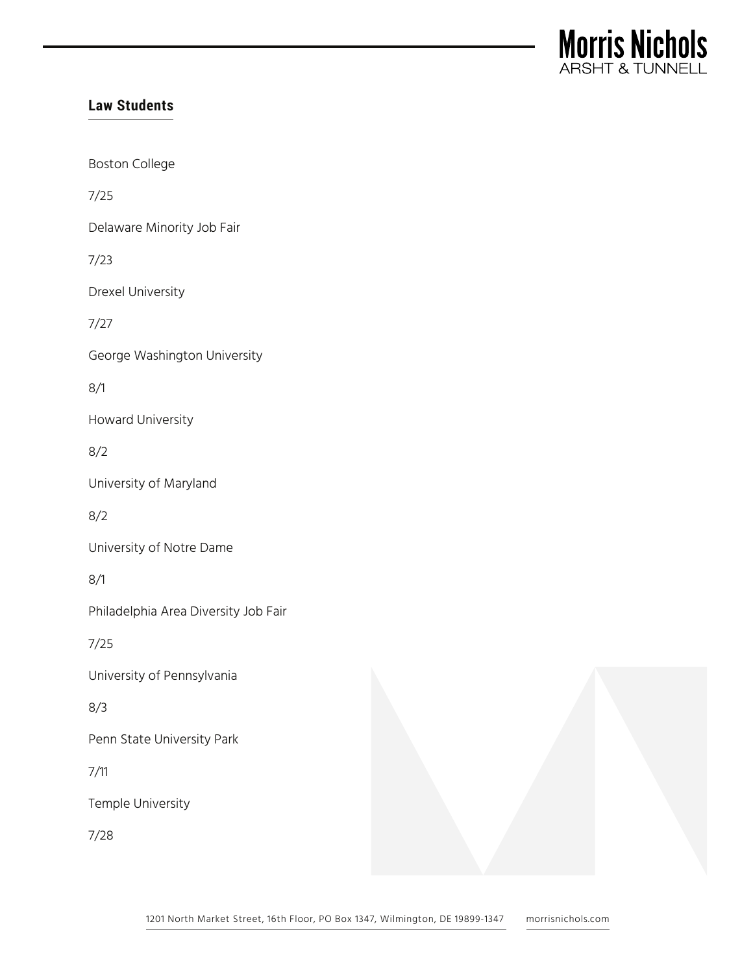

Boston College 7/25 Delaware Minority Job Fair 7/23 Drexel University 7/27 George Washington University 8/1 Howard University 8/2 University of Maryland 8/2 University of Notre Dame 8/1 Philadelphia Area Diversity Job Fair 7/25 University of Pennsylvania 8/3 Penn State University Park 7/11 Temple University 7/28

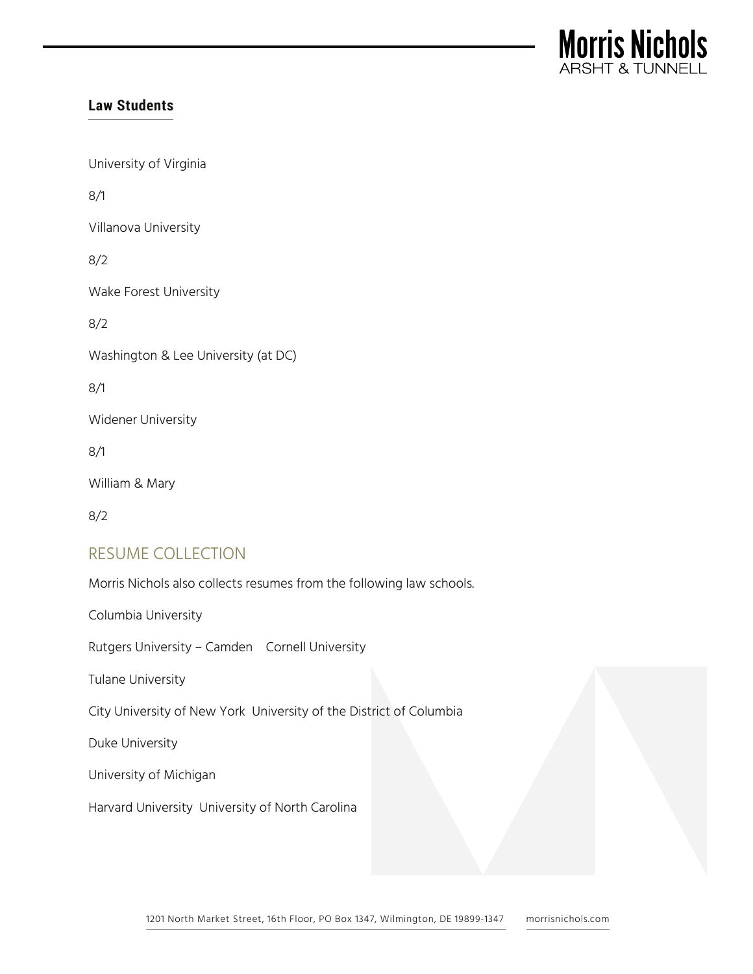

University of Virginia

8/1

Villanova University

8/2

Wake Forest University

8/2

Washington & Lee University (at DC)

8/1

Widener University

8/1

William & Mary

8/2

## RESUME COLLECTION

Morris Nichols also collects resumes from the following law schools.

Columbia University

Rutgers University – Camden Cornell University

Tulane University

City University of New York University of the District of Columbia

Duke University

University of Michigan

Harvard University University of North Carolina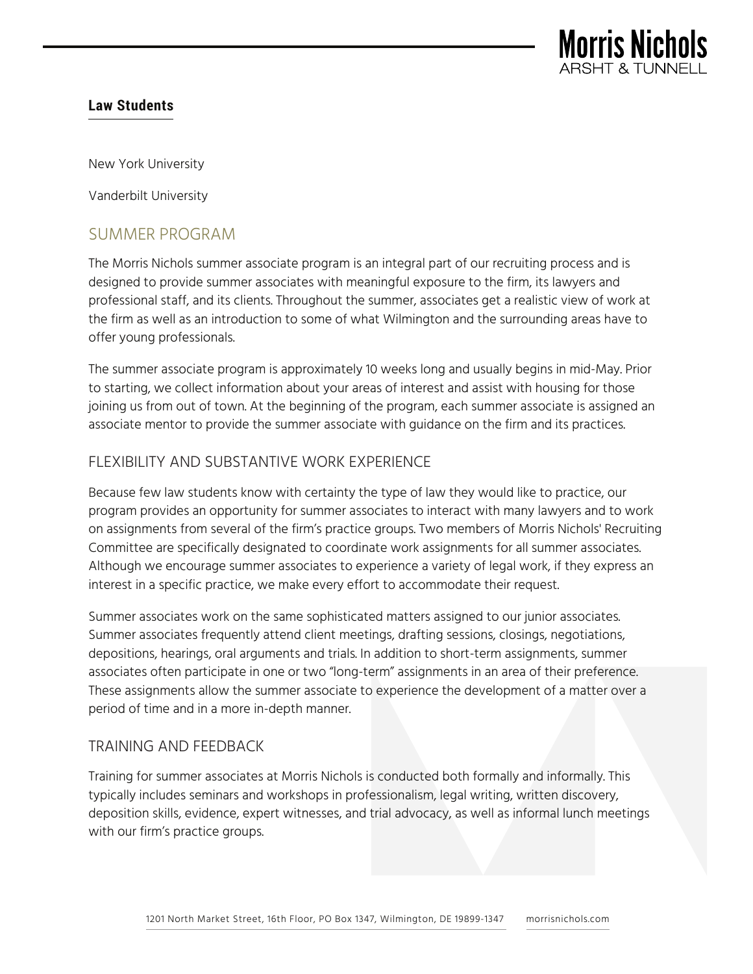

New York University

Vanderbilt University

## SUMMER PROGRAM

The Morris Nichols summer associate program is an integral part of our recruiting process and is designed to provide summer associates with meaningful exposure to the firm, its lawyers and professional staff, and its clients. Throughout the summer, associates get a realistic view of work at the firm as well as an introduction to some of what Wilmington and the surrounding areas have to offer young professionals.

The summer associate program is approximately 10 weeks long and usually begins in mid-May. Prior to starting, we collect information about your areas of interest and assist with housing for those joining us from out of town. At the beginning of the program, each summer associate is assigned an associate mentor to provide the summer associate with guidance on the firm and its practices.

## FLEXIBILITY AND SUBSTANTIVE WORK EXPERIENCE

Because few law students know with certainty the type of law they would like to practice, our program provides an opportunity for summer associates to interact with many lawyers and to work on assignments from several of the firm's practice groups. Two members of Morris Nichols' Recruiting Committee are specifically designated to coordinate work assignments for all summer associates. Although we encourage summer associates to experience a variety of legal work, if they express an interest in a specific practice, we make every effort to accommodate their request.

Summer associates work on the same sophisticated matters assigned to our junior associates. Summer associates frequently attend client meetings, drafting sessions, closings, negotiations, depositions, hearings, oral arguments and trials. In addition to short-term assignments, summer associates often participate in one or two "long-term" assignments in an area of their preference. These assignments allow the summer associate to experience the development of a matter over a period of time and in a more in-depth manner.

## TRAINING AND FEEDBACK

Training for summer associates at Morris Nichols is conducted both formally and informally. This typically includes seminars and workshops in professionalism, legal writing, written discovery, deposition skills, evidence, expert witnesses, and trial advocacy, as well as informal lunch meetings with our firm's practice groups.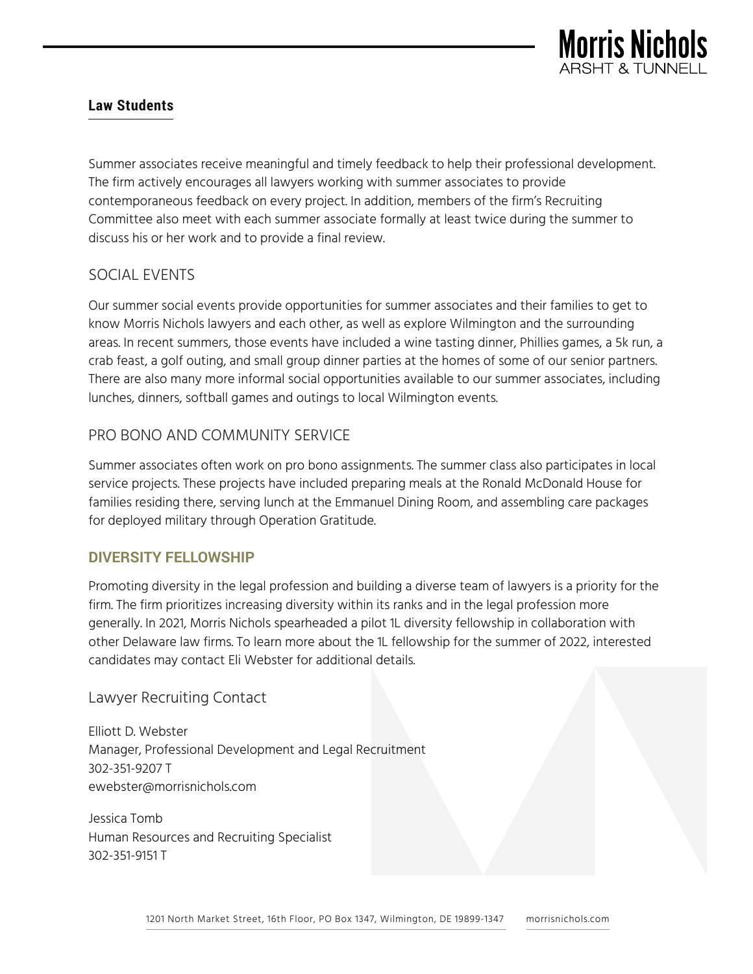

Summer associates receive meaningful and timely feedback to help their professional development. The firm actively encourages all lawyers working with summer associates to provide contemporaneous feedback on every project. In addition, members of the firm's Recruiting Committee also meet with each summer associate formally at least twice during the summer to discuss his or her work and to provide a final review.

## SOCIAL EVENTS

Our summer social events provide opportunities for summer associates and their families to get to know Morris Nichols lawyers and each other, as well as explore Wilmington and the surrounding areas. In recent summers, those events have included a wine tasting dinner, Phillies games, a 5k run, a crab feast, a golf outing, and small group dinner parties at the homes of some of our senior partners. There are also many more informal social opportunities available to our summer associates, including lunches, dinners, softball games and outings to local Wilmington events.

## PRO BONO AND COMMUNITY SERVICE

Summer associates often work on pro bono assignments. The summer class also participates in local service projects. These projects have included preparing meals at the Ronald McDonald House for families residing there, serving lunch at the Emmanuel Dining Room, and assembling care packages for deployed military through Operation Gratitude.

## **DIVERSITY FELLOWSHIP**

Promoting diversity in the legal profession and building a diverse team of lawyers is a priority for the firm. The firm prioritizes increasing diversity within its ranks and in the legal profession more generally. In 2021, Morris Nichols spearheaded a pilot 1L diversity fellowship in collaboration with other Delaware law firms. To learn more about the 1L fellowship for the summer of 2022, interested candidates may contact Eli Webster for additional details.

Lawyer Recruiting Contact

Elliott D. Webster Manager, Professional Development and Legal Recruitment 302-351-9207 T ewebster@morrisnichols.com

Jessica Tomb Human Resources and Recruiting Specialist 302-351-9151 T